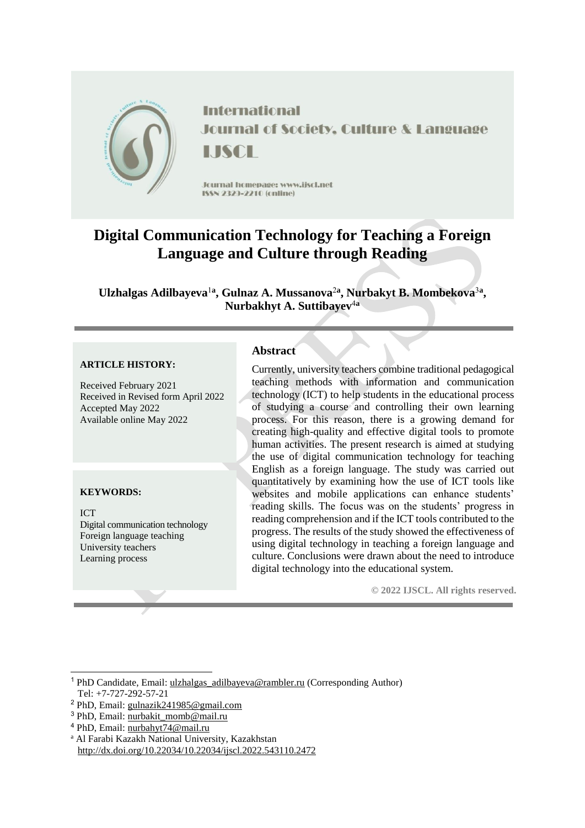

**International Journal of Society, Culture & Language** LISCE

Journal homepage: www.jiscl.net ISSN 2323-2210 (cnline)

# **Digital Communication Technology for Teaching a Foreign Language and Culture through Reading**

Ulzhalgas Adilbayeva<sup>1a</sup>, Gulnaz A. Mussanova<sup>2a</sup>, Nurbakyt B. Mombekova<sup>3a</sup>, **Nurbakhyt A. Suttibayev**<sup>4</sup>**<sup>a</sup>**

#### **ARTICLE HISTORY:**

Received February 2021 Received in Revised form April 2022 Accepted May 2022 Available online May 2022

## **KEYWORDS:**

-

ICT Digital communication technology Foreign language teaching University teachers Learning process

# **Abstract**

Currently, university teachers combine traditional pedagogical teaching methods with information and communication technology (ICT) to help students in the educational process of studying a course and controlling their own learning process. For this reason, there is a growing demand for creating high-quality and effective digital tools to promote human activities. The present research is aimed at studying the use of digital communication technology for teaching English as a foreign language. The study was carried out quantitatively by examining how the use of ICT tools like websites and mobile applications can enhance students' reading skills. The focus was on the students' progress in reading comprehension and if the ICT tools contributed to the progress. The results of the study showed the effectiveness of using digital technology in teaching a foreign language and culture. Conclusions were drawn about the need to introduce digital technology into the educational system.

**© 2022 IJSCL. All rights reserved.**

- <sup>2</sup> PhD, Email: [gulnazik241985@gmail.com](mailto:gulnazik241985@gmail.com)
- <sup>3</sup> PhD, Email: [nurbakit\\_momb@mail.ru](mailto:nurbakit_momb@mail.ru)
- <sup>4</sup> PhD, Email: [nurbahyt74@mail.ru](mailto:nurbahyt74@mail.ru)
- <sup>a</sup> Al Farabi Kazakh National University, Kazakhstan http://dx.doi.org/10.22034/10.22034/ijscl.2022.543110.2472

<sup>&</sup>lt;sup>1</sup> PhD Candidate, Email: [ulzhalgas\\_adilbayeva@rambler.ru](mailto:ulzhalgas_adilbayeva@rambler.ru) (Corresponding Author) Tel: +7-727-292-57-21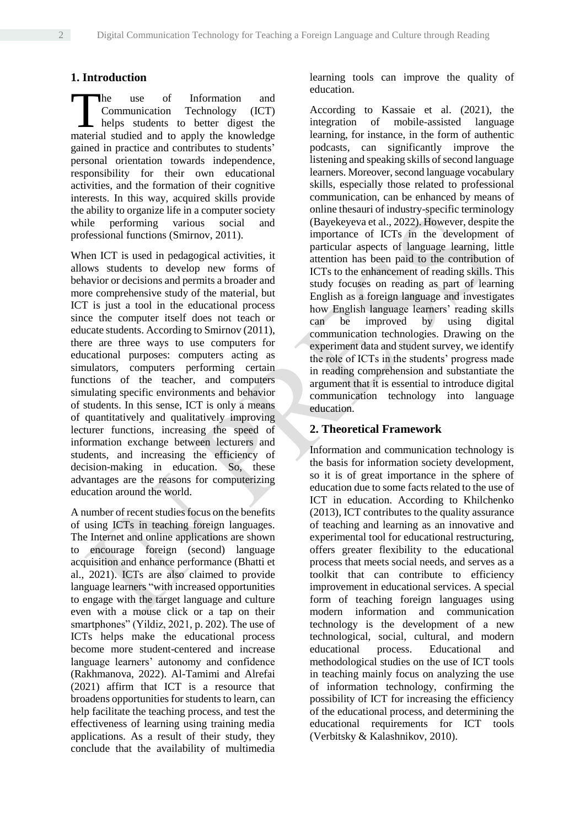# **1. Introduction**

he use of Information and Communication Technology (ICT) helps students to better digest the The use of Information and Communication Technology (ICT) helps students to better digest the material studied and to apply the knowledge gained in practice and contributes to students' personal orientation towards independence, responsibility for their own educational activities, and the formation of their cognitive interests. In this way, acquired skills provide the ability to organize life in a computer society while performing various social and professional functions (Smirnov, 2011).

When ICT is used in pedagogical activities, it allows students to develop new forms of behavior or decisions and permits a broader and more comprehensive study of the material, but ICT is just a tool in the educational process since the computer itself does not teach or educate students. According to Smirnov (2011), there are three ways to use computers for educational purposes: computers acting as simulators, computers performing certain functions of the teacher, and computers simulating specific environments and behavior of students. In this sense, ICT is only a means of quantitatively and qualitatively improving lecturer functions, increasing the speed of information exchange between lecturers and students, and increasing the efficiency of decision-making in education. So, these advantages are the reasons for computerizing education around the world.

A number of recent studies focus on the benefits of using ICTs in teaching foreign languages. The Internet and online applications are shown to encourage foreign (second) language acquisition and enhance performance (Bhatti et al., 2021). ICTs are also claimed to provide language learners "with increased opportunities to engage with the target language and culture even with a mouse click or a tap on their smartphones" (Yildiz, 2021, p. 202). The use of ICTs helps make the educational process become more student-centered and increase language learners' autonomy and confidence (Rakhmanova, 2022). Al-Tamimi and Alrefai (2021) affirm that ICT is a resource that broadens opportunities for students to learn, can help facilitate the teaching process, and test the effectiveness of learning using training media applications. As a result of their study, they conclude that the availability of multimedia learning tools can improve the quality of education.

According to Kassaie et al. (2021), the integration of mobile-assisted language learning, for instance, in the form of authentic podcasts, can significantly improve the listening and speaking skills of second language learners. Moreover, second language vocabulary skills, especially those related to professional communication, can be enhanced by means of online thesauri of industry-specific terminology (Bayekeyeva et al., 2022). However, despite the importance of ICTs in the development of particular aspects of language learning, little attention has been paid to the contribution of ICTs to the enhancement of reading skills. This study focuses on reading as part of learning English as a foreign language and investigates how English language learners' reading skills can be improved by using digital communication technologies. Drawing on the experiment data and student survey, we identify the role of ICTs in the students' progress made in reading comprehension and substantiate the argument that it is essential to introduce digital communication technology into language education.

## **2. Theoretical Framework**

Information and communication technology is the basis for information society development, so it is of great importance in the sphere of education due to some facts related to the use of ICT in education. According to Khilchenko (2013), ICT contributes to the quality assurance of teaching and learning as an innovative and experimental tool for educational restructuring, offers greater flexibility to the educational process that meets social needs, and serves as a toolkit that can contribute to efficiency improvement in educational services. A special form of teaching foreign languages using modern information and communication technology is the development of a new technological, social, cultural, and modern educational process. Educational and methodological studies on the use of ICT tools in teaching mainly focus on analyzing the use of information technology, confirming the possibility of ICT for increasing the efficiency of the educational process, and determining the educational requirements for ICT tools (Verbitsky & Kalashnikov, 2010).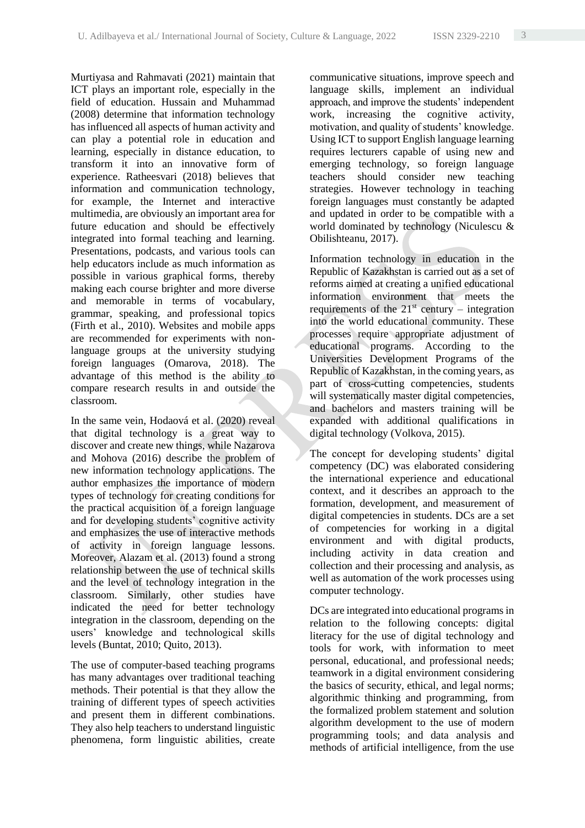Murtiyasa and Rahmavati (2021) maintain that ICT plays an important role, especially in the field of education. Hussain and Muhammad (2008) determine that information technology has influenced all aspects of human activity and can play a potential role in education and learning, especially in distance education, to transform it into an innovative form of experience. Ratheesvari (2018) believes that information and communication technology, for example, the Internet and interactive multimedia, are obviously an important area for future education and should be effectively integrated into formal teaching and learning. Presentations, podcasts, and various tools can help educators include as much information as possible in various graphical forms, thereby making each course brighter and more diverse and memorable in terms of vocabulary, grammar, speaking, and professional topics (Firth et al., 2010). Websites and mobile apps are recommended for experiments with nonlanguage groups at the university studying foreign languages (Omarova, 2018). The advantage of this method is the ability to compare research results in and outside the classroom.

In the same vein, [Hodaová](https://www.researchgate.net/profile/Jitka-Hodanova) et al. (2020) reveal that digital technology is a great way to discover and create new things, while Nazarova and Mohova (2016) describe the problem of new information technology applications. The author emphasizes the importance of modern types of technology for creating conditions for the practical acquisition of a foreign language and for developing students' cognitive activity and emphasizes the use of interactive methods of activity in foreign language lessons. Moreover, Alazam et al. (2013) found a strong relationship between the use of technical skills and the level of technology integration in the classroom. Similarly, other studies have indicated the need for better technology integration in the classroom, depending on the users' knowledge and technological skills levels (Buntat, 2010; Quito, 2013).

The use of computer-based teaching programs has many advantages over traditional teaching methods. Their potential is that they allow the training of different types of speech activities and present them in different combinations. They also help teachers to understand linguistic phenomena, form linguistic abilities, create

communicative situations, improve speech and language skills, implement an individual approach, and improve the students' independent work, increasing the cognitive activity, motivation, and quality of students' knowledge. Using ICT to support English language learning requires lecturers capable of using new and emerging technology, so foreign language teachers should consider new teaching strategies. However technology in teaching foreign languages must constantly be adapted and updated in order to be compatible with a world dominated by technology (Niculescu & Obilishteanu, 2017).

Information technology in education in the Republic of Kazakhstan is carried out as a set of reforms aimed at creating a unified educational information environment that meets the requirements of the  $21<sup>st</sup>$  century – integration into the world educational community. These processes require appropriate adjustment of educational programs. According to the Universities Development Programs of the Republic of Kazakhstan, in the coming years, as part of cross-cutting competencies, students will systematically master digital competencies, and bachelors and masters training will be expanded with additional qualifications in digital technology (Volkova, 2015).

The concept for developing students' digital competency (DC) was elaborated considering the international experience and educational context, and it describes an approach to the formation, development, and measurement of digital competencies in students. DCs are a set of competencies for working in a digital environment and with digital products, including activity in data creation and collection and their processing and analysis, as well as automation of the work processes using computer technology.

DCs are integrated into educational programs in relation to the following concepts: digital literacy for the use of digital technology and tools for work, with information to meet personal, educational, and professional needs; teamwork in a digital environment considering the basics of security, ethical, and legal norms; algorithmic thinking and programming, from the formalized problem statement and solution algorithm development to the use of modern programming tools; and data analysis and methods of artificial intelligence, from the use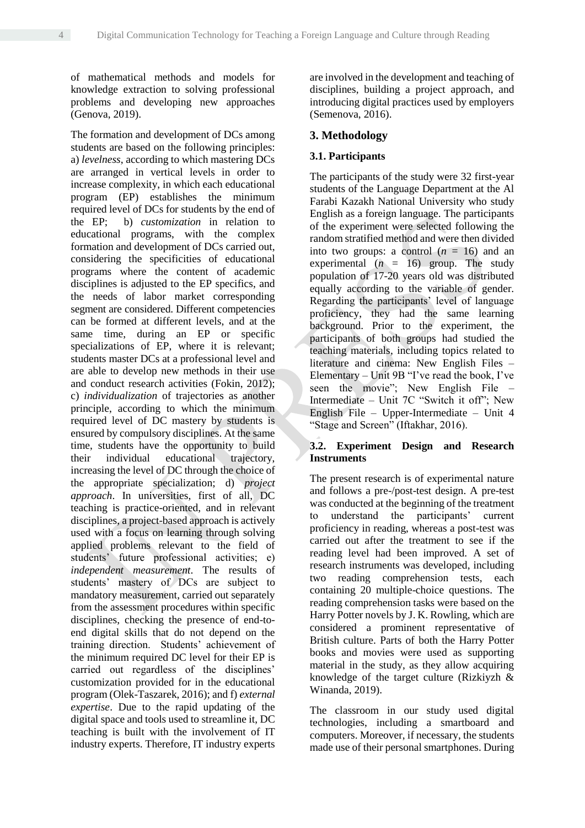of mathematical methods and models for knowledge extraction to solving professional problems and developing new approaches (Genova, 2019).

The formation and development of DCs among students are based on the following principles: a) *levelness*, according to which mastering DCs are arranged in vertical levels in order to increase complexity, in which each educational program (EP) establishes the minimum required level of DCs for students by the end of the EP; b) *customization* in relation to educational programs, with the complex formation and development of DCs carried out, considering the specificities of educational programs where the content of academic disciplines is adjusted to the EP specifics, and the needs of labor market corresponding segment are considered. Different competencies can be formed at different levels, and at the same time, during an EP or specific specializations of EP, where it is relevant; students master DCs at a professional level and are able to develop new methods in their use and conduct research activities (Fokin, 2012); c) *individualization* of trajectories as another principle, according to which the minimum required level of DC mastery by students is ensured by compulsory disciplines. At the same time, students have the opportunity to build their individual educational trajectory, increasing the level of DC through the choice of the appropriate specialization; d) *project approach*. In universities, first of all, DC teaching is practice-oriented, and in relevant disciplines, a project-based approach is actively used with a focus on learning through solving applied problems relevant to the field of students' future professional activities; e) *independent measurement*. The results of students' mastery of DCs are subject to mandatory measurement, carried out separately from the assessment procedures within specific disciplines, checking the presence of end-toend digital skills that do not depend on the training direction. Students' achievement of the minimum required DC level for their EP is carried out regardless of the disciplines' customization provided for in the educational program (Olek-Taszarek, 2016); and f) *external expertise*. Due to the rapid updating of the digital space and tools used to streamline it, DC teaching is built with the involvement of IT industry experts. Therefore, IT industry experts

are involved in the development and teaching of disciplines, building a project approach, and introducing digital practices used by employers (Semenova, 2016).

## **3. Methodology**

## **3.1. Participants**

The participants of the study were 32 first-year students of the Language Department at the Al Farabi Kazakh National University who study English as a foreign language. The participants of the experiment were selected following the random stratified method and were then divided into two groups: a control  $(n = 16)$  and an experimental  $(n = 16)$  group. The study population of 17-20 years old was distributed equally according to the variable of gender. Regarding the participants' level of language proficiency, they had the same learning background. Prior to the experiment, the participants of both groups had studied the teaching materials, including topics related to literature and cinema: New English Files – Elementary – Unit 9B "I've read the book, I've seen the movie"; New English File – Intermediate – Unit 7C "Switch it off"; New English File – Upper-Intermediate – Unit 4 "Stage and Screen" (Iftakhar, 2016).

## **3.2. Experiment Design and Research Instruments**

The present research is of experimental nature and follows a pre-/post-test design. A pre-test was conducted at the beginning of the treatment to understand the participants' current proficiency in reading, whereas a post-test was carried out after the treatment to see if the reading level had been improved. A set of research instruments was developed, including two reading comprehension tests, each containing 20 multiple-choice questions. The reading comprehension tasks were based on the Harry Potter novels by J. K. Rowling, which are considered a prominent representative of British culture. Parts of both the Harry Potter books and movies were used as supporting material in the study, as they allow acquiring knowledge of the target culture (Rizkiyzh & Winanda, 2019).

The classroom in our study used digital technologies, including a smartboard and computers. Moreover, if necessary, the students made use of their personal smartphones. During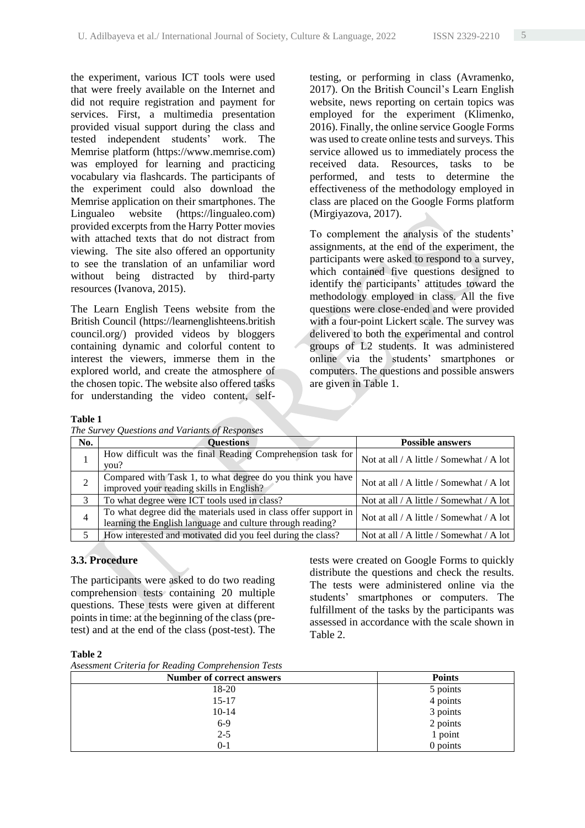the experiment, various ICT tools were used that were freely available on the Internet and did not require registration and payment for services. First, a multimedia presentation provided visual support during the class and tested independent students' work. The Memrise platform (https://www.memrise.com) was employed for learning and practicing vocabulary via flashcards. The participants of the experiment could also download the Memrise application on their smartphones. The Lingualeo website (https://lingualeo.com) provided excerpts from the Harry Potter movies with attached texts that do not distract from viewing. The site also offered an opportunity to see the translation of an unfamiliar word without being distracted by third-party resources (Ivanova, 2015).

The Learn English Teens website from the British Council (https://learnenglishteens.british council.org/) provided videos by bloggers containing dynamic and colorful content to interest the viewers, immerse them in the explored world, and create the atmosphere of the chosen topic. The website also offered tasks for understanding the video content, self-

testing, or performing in class (Avramenko, 2017). On the British Council's Learn English website, news reporting on certain topics was employed for the experiment (Klimenko, 2016). Finally, the online service Google Forms was used to create online tests and surveys. This service allowed us to immediately process the received data. Resources, tasks to be performed, and tests to determine the effectiveness of the methodology employed in class are placed on the Google Forms platform (Mirgiyazova, 2017).

To complement the analysis of the students' assignments, at the end of the experiment, the participants were asked to respond to a survey, which contained five questions designed to identify the participants' attitudes toward the methodology employed in class. All the five questions were close-ended and were provided with a four-point Lickert scale. The survey was delivered to both the experimental and control groups of L2 students. It was administered online via the students' smartphones or computers. The questions and possible answers are given in Table 1.

## **Table 1**

*The Survey Questions and Variants of Responses*

| No. | <b>Questions</b>                                                                                                              | <b>Possible answers</b>                  |
|-----|-------------------------------------------------------------------------------------------------------------------------------|------------------------------------------|
|     | How difficult was the final Reading Comprehension task for<br>you?                                                            | Not at all / A little / Somewhat / A lot |
|     | Compared with Task 1, to what degree do you think you have<br>improved your reading skills in English?                        | Not at all / A little / Somewhat / A lot |
| 3   | To what degree were ICT tools used in class?                                                                                  | Not at all / A little / Somewhat / A lot |
| 4   | To what degree did the materials used in class offer support in<br>learning the English language and culture through reading? | Not at all / A little / Somewhat / A lot |
| 5   | How interested and motivated did you feel during the class?                                                                   | Not at all / A little / Somewhat / A lot |

## **3.3. Procedure**

The participants were asked to do two reading comprehension tests containing 20 multiple questions. These tests were given at different points in time: at the beginning of the class (pretest) and at the end of the class (post-test). The

tests were created on Google Forms to quickly distribute the questions and check the results. The tests were administered online via the students' smartphones or computers. The fulfillment of the tasks by the participants was assessed in accordance with the scale shown in Table 2.

## **Table 2**

*Asessment Criteria for Reading Comprehension Tests*

| . 0<br>Number of correct answers | <b>Points</b> |
|----------------------------------|---------------|
| 18-20                            | 5 points      |
| $15 - 17$                        | 4 points      |
| $10 - 14$                        | 3 points      |
| $6-9$                            | 2 points      |
| $2 - 5$                          | 1 point       |
| 0-1                              | $0$ points    |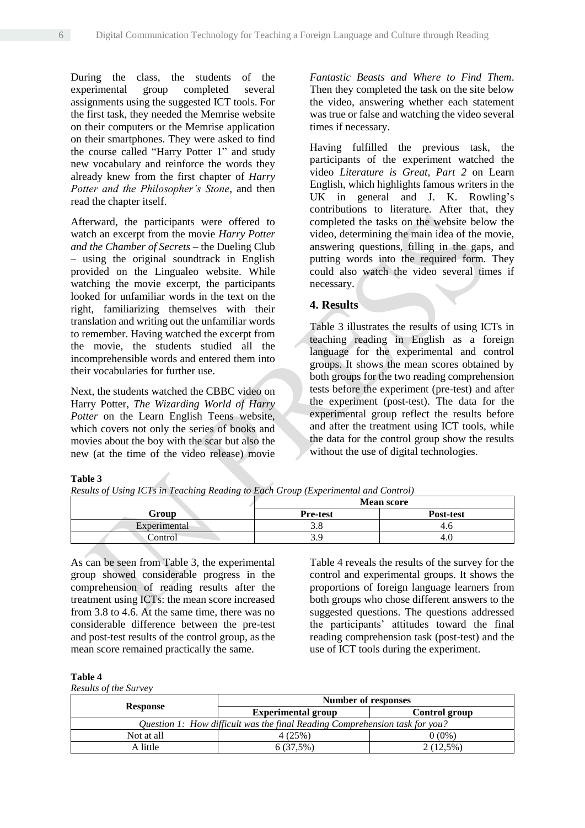During the class, the students of the experimental group completed several assignments using the suggested ICT tools. For the first task, they needed the Memrise website on their computers or the Memrise application on their smartphones. They were asked to find the course called "Harry Potter 1" and study new vocabulary and reinforce the words they already knew from the first chapter of *Harry Potter and the Philosopher's Stone*, and then read the chapter itself.

Afterward, the participants were offered to watch an excerpt from the movie *Harry Potter and the Chamber of Secrets* – the Dueling Club – using the original soundtrack in English provided on the Lingualeo website. While watching the movie excerpt, the participants looked for unfamiliar words in the text on the right, familiarizing themselves with their translation and writing out the unfamiliar words to remember. Having watched the excerpt from the movie, the students studied all the incomprehensible words and entered them into their vocabularies for further use.

Next, the students watched the CBBC video on Harry Potter, *The Wizarding World of Harry Potter* on the Learn English Teens website, which covers not only the series of books and movies about the boy with the scar but also the new (at the time of the video release) movie

*Fantastic Beasts and Where to Find Them*. Then they completed the task on the site below the video, answering whether each statement was true or false and watching the video several times if necessary.

Having fulfilled the previous task, the participants of the experiment watched the video *Literature is Great, Part 2* on Learn English, which highlights famous writers in the UK in general and J. K. Rowling's contributions to literature. After that, they completed the tasks on the website below the video, determining the main idea of the movie, answering questions, filling in the gaps, and putting words into the required form. They could also watch the video several times if necessary.

## **4. Results**

Table 3 illustrates the results of using ICTs in teaching reading in English as a foreign language for the experimental and control groups. It shows the mean scores obtained by both groups for the two reading comprehension tests before the experiment (pre-test) and after the experiment (post-test). The data for the experimental group reflect the results before and after the treatment using ICT tools, while the data for the control group show the results without the use of digital technologies.

#### **Table 3**

*Results of Using ICTs in Teaching Reading to Each Group (Experimental and Control)*

|              | <b>Mean score</b> |           |  |
|--------------|-------------------|-----------|--|
| Group        | <b>Pre-test</b>   | Post-test |  |
| Experimental | ں. ب              |           |  |
| `ontrol      | J.J               | 4.U       |  |

As can be seen from Table 3, the experimental group showed considerable progress in the comprehension of reading results after the treatment using ICTs: the mean score increased from 3.8 to 4.6. At the same time, there was no considerable difference between the pre-test and post-test results of the control group, as the mean score remained practically the same.

Table 4 reveals the results of the survey for the control and experimental groups. It shows the proportions of foreign language learners from both groups who chose different answers to the suggested questions. The questions addressed the participants' attitudes toward the final reading comprehension task (post-test) and the use of ICT tools during the experiment.

#### **Table 4**

*Results of the Survey*

|                                                                             | Number of responses       |               |  |  |
|-----------------------------------------------------------------------------|---------------------------|---------------|--|--|
| <b>Response</b>                                                             | <b>Experimental group</b> | Control group |  |  |
| Question 1: How difficult was the final Reading Comprehension task for you? |                           |               |  |  |
| Not at all                                                                  | 4 (25%)                   | 0 (0%)        |  |  |
| A little                                                                    | 6(37.5%)                  | $2(12.5\%)$   |  |  |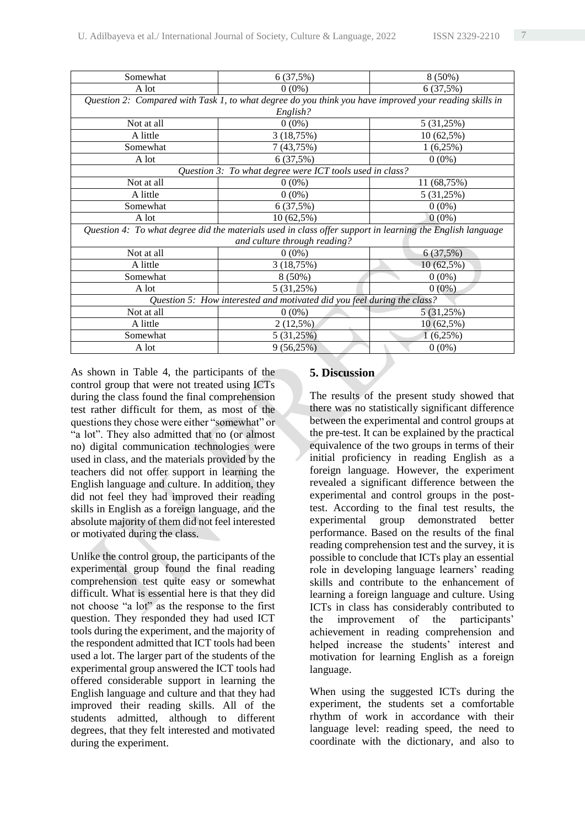| Somewhat                                                                                                  | 6(37,5%)                     | $8(50\%)$    |  |  |  |  |
|-----------------------------------------------------------------------------------------------------------|------------------------------|--------------|--|--|--|--|
| A lot                                                                                                     | $0(0\%)$                     | 6 (37,5%)    |  |  |  |  |
| Question 2: Compared with Task 1, to what degree do you think you have improved your reading skills in    |                              |              |  |  |  |  |
| English?                                                                                                  |                              |              |  |  |  |  |
| Not at all                                                                                                | $0(0\%)$                     | 5(31,25%)    |  |  |  |  |
| A little                                                                                                  | 3(18,75%)                    | $10(62,5\%)$ |  |  |  |  |
| Somewhat                                                                                                  | 7 (43,75%)                   | 1(6,25%)     |  |  |  |  |
| A lot                                                                                                     | 6(37,5%)                     | $0(0\%)$     |  |  |  |  |
| Question 3: To what degree were ICT tools used in class?                                                  |                              |              |  |  |  |  |
| Not at all                                                                                                | $0(0\%)$                     | 11 (68,75%)  |  |  |  |  |
| A little                                                                                                  | $0(0\%)$                     | 5(31,25%)    |  |  |  |  |
| Somewhat                                                                                                  | 6(37,5%)                     | $0(0\%)$     |  |  |  |  |
| A lot                                                                                                     | $10(62,5\%)$                 | $0(0\%)$     |  |  |  |  |
| Question 4: To what degree did the materials used in class offer support in learning the English language |                              |              |  |  |  |  |
|                                                                                                           | and culture through reading? |              |  |  |  |  |
| Not at all                                                                                                | $0(0\%)$                     | 6(37,5%)     |  |  |  |  |
| A little                                                                                                  | 3(18,75%)                    | $10(62,5\%)$ |  |  |  |  |
| Somewhat                                                                                                  | $8(50\%)$                    | $0(0\%)$     |  |  |  |  |
| A lot                                                                                                     | 5(31,25%)                    | $0(0\%)$     |  |  |  |  |
| Question 5: How interested and motivated did you feel during the class?                                   |                              |              |  |  |  |  |
| Not at all                                                                                                | $0(0\%)$                     | 5 (31,25%)   |  |  |  |  |
| A little                                                                                                  | $2(12,5\%)$                  | $10(62,5\%)$ |  |  |  |  |
| Somewhat                                                                                                  | 5(31,25%)                    | $1(6,25\%)$  |  |  |  |  |
| A lot                                                                                                     | 9(56,25%)                    | $0(0\%)$     |  |  |  |  |

As shown in Table 4, the participants of the control group that were not treated using ICTs during the class found the final comprehension test rather difficult for them, as most of the questions they chose were either "somewhat" or "a lot". They also admitted that no (or almost no) digital communication technologies were used in class, and the materials provided by the teachers did not offer support in learning the English language and culture. In addition, they did not feel they had improved their reading skills in English as a foreign language, and the absolute majority of them did not feel interested or motivated during the class.

Unlike the control group, the participants of the experimental group found the final reading comprehension test quite easy or somewhat difficult. What is essential here is that they did not choose "a lot" as the response to the first question. They responded they had used ICT tools during the experiment, and the majority of the respondent admitted that ICT tools had been used a lot. The larger part of the students of the experimental group answered the ICT tools had offered considerable support in learning the English language and culture and that they had improved their reading skills. All of the students admitted, although to different degrees, that they felt interested and motivated during the experiment.

## **5. Discussion**

The results of the present study showed that there was no statistically significant difference between the experimental and control groups at the pre-test. It can be explained by the practical equivalence of the two groups in terms of their initial proficiency in reading English as a foreign language. However, the experiment revealed a significant difference between the experimental and control groups in the posttest. According to the final test results, the experimental group demonstrated better performance. Based on the results of the final reading comprehension test and the survey, it is possible to conclude that ICTs play an essential role in developing language learners' reading skills and contribute to the enhancement of learning a foreign language and culture. Using ICTs in class has considerably contributed to the improvement of the participants' achievement in reading comprehension and helped increase the students' interest and motivation for learning English as a foreign language.

When using the suggested ICTs during the experiment, the students set a comfortable rhythm of work in accordance with their language level: reading speed, the need to coordinate with the dictionary, and also to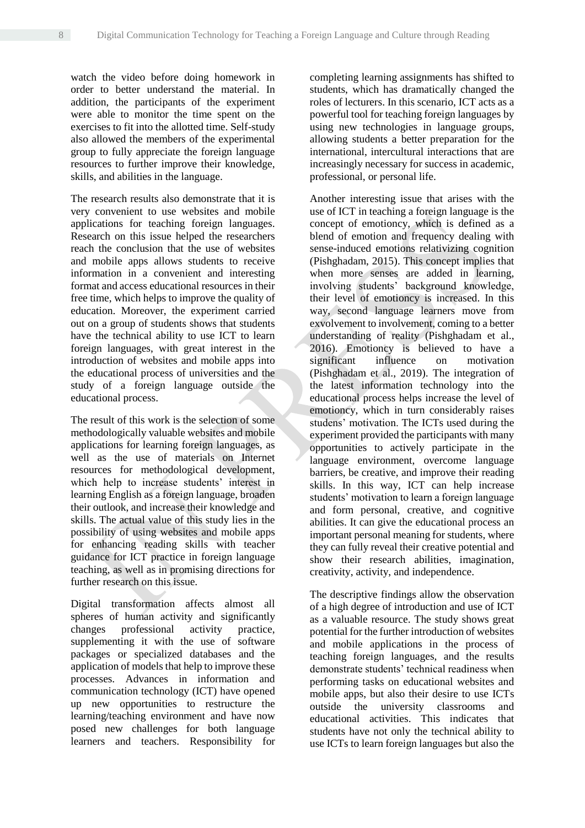watch the video before doing homework in order to better understand the material. In addition, the participants of the experiment were able to monitor the time spent on the exercises to fit into the allotted time. Self-study also allowed the members of the experimental group to fully appreciate the foreign language resources to further improve their knowledge, skills, and abilities in the language.

The research results also demonstrate that it is very convenient to use websites and mobile applications for teaching foreign languages. Research on this issue helped the researchers reach the conclusion that the use of websites and mobile apps allows students to receive information in a convenient and interesting format and access educational resources in their free time, which helps to improve the quality of education. Moreover, the experiment carried out on a group of students shows that students have the technical ability to use ICT to learn foreign languages, with great interest in the introduction of websites and mobile apps into the educational process of universities and the study of a foreign language outside the educational process.

The result of this work is the selection of some methodologically valuable websites and mobile applications for learning foreign languages, as well as the use of materials on Internet resources for methodological development, which help to increase students' interest in learning English as a foreign language, broaden their outlook, and increase their knowledge and skills. The actual value of this study lies in the possibility of using websites and mobile apps for enhancing reading skills with teacher guidance for ICT practice in foreign language teaching, as well as in promising directions for further research on this issue.

Digital transformation affects almost all spheres of human activity and significantly changes professional activity practice, supplementing it with the use of software packages or specialized databases and the application of models that help to improve these processes. Advances in information and communication technology (ICT) have opened up new opportunities to restructure the learning/teaching environment and have now posed new challenges for both language learners and teachers. Responsibility for completing learning assignments has shifted to students, which has dramatically changed the roles of lecturers. In this scenario, ICT acts as a powerful tool for teaching foreign languages by using new technologies in language groups, allowing students a better preparation for the international, intercultural interactions that are increasingly necessary for success in academic, professional, or personal life.

Another interesting issue that arises with the use of ICT in teaching a foreign language is the concept of emotioncy, which is defined as a blend of emotion and frequency dealing with sense-induced emotions relativizing cognition (Pishghadam, 2015). This concept implies that when more senses are added in learning, involving students' background knowledge, their level of emotioncy is increased. In this way, second language learners move from exvolvement to involvement, coming to a better understanding of reality (Pishghadam et al., 2016). Emotioncy is believed to have a significant influence on motivation (Pishghadam et al., 2019). The integration of the latest information technology into the educational process helps increase the level of emotioncy, which in turn considerably raises studens' motivation. The ICTs used during the experiment provided the participants with many opportunities to actively participate in the language environment, overcome language barriers, be creative, and improve their reading skills. In this way, ICT can help increase students' motivation to learn a foreign language and form personal, creative, and cognitive abilities. It can give the educational process an important personal meaning for students, where they can fully reveal their creative potential and show their research abilities, imagination, creativity, activity, and independence.

The descriptive findings allow the observation of a high degree of introduction and use of ICT as a valuable resource. The study shows great potential for the further introduction of websites and mobile applications in the process of teaching foreign languages, and the results demonstrate students' technical readiness when performing tasks on educational websites and mobile apps, but also their desire to use ICTs outside the university classrooms and educational activities. This indicates that students have not only the technical ability to use ICTs to learn foreign languages but also the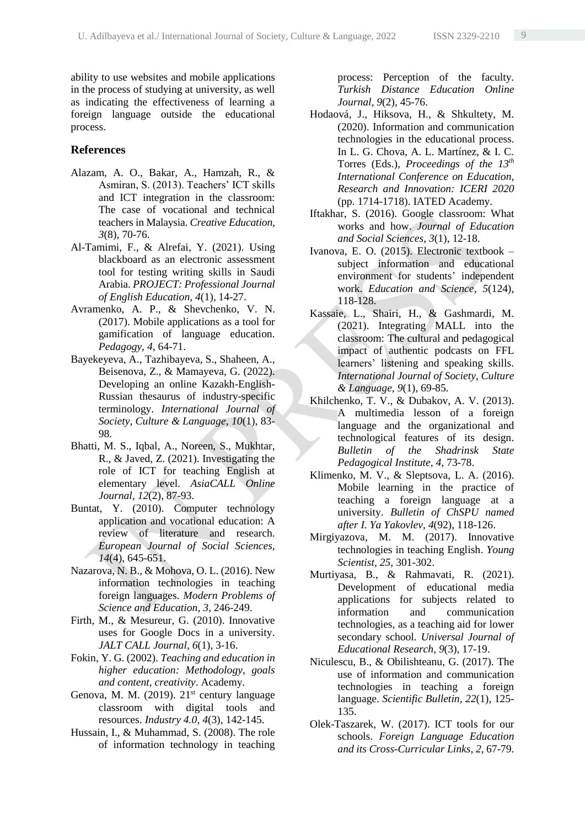ability to use websites and mobile applications in the process of studying at university, as well as indicating the effectiveness of learning a foreign language outside the educational process.

## **References**

- Alazam, A. O., Bakar, A., Hamzah, R., & Asmiran, S. (2013). Teachers' ICT skills and ICT integration in the classroom: The case of vocational and technical teachers in Malaysia. *Creative Education, 3*(8), 70-76.
- Al-Tamimi, F., & Alrefai, Y. (2021). Using blackboard as an electronic assessment tool for testing writing skills in Saudi Arabia. *PROJECT: Professional Journal of English Education, 4*(1), 14-27.
- Avramenko, A. P., & Shevchenko, V. N. (2017). Mobile applications as a tool for gamification of language education. *Pedagogy, 4*, 64-71.
- Bayekeyeva, A., Tazhibayeva, S., Shaheen, A., Beisenova, Z., & Mamayeva, G. (2022). Developing an online Kazakh-English-Russian thesaurus of industry-specific terminology. *International Journal of Society, Culture & Language, 10*(1), 83- 98.
- Bhatti, M. S., Iqbal, A., Noreen, S., Mukhtar, R., & Javed, Z. (2021). Investigating the role of ICT for teaching English at elementary level. *AsiaCALL Online Journal, 12*(2), 87-93.
- Buntat, Y. (2010). Computer technology application and vocational education: A review of literature and research. *European Journal of Social Sciences, 14*(4), 645-651.
- Nazarova, N. B., & Mohova, O. L. (2016). New information technologies in teaching foreign languages. *Modern Problems of Science and Education, 3*, 246-249.
- Firth, M., & Mesureur, G. (2010). Innovative uses for Google Docs in a university. *JALT CALL Journal, 6*(1), 3-16.
- Fokin, Y. G. (2002). *Teaching and education in higher education: Methodology, goals and content, creativity*. Academy.
- Genova, M. M. (2019).  $21<sup>st</sup>$  century language classroom with digital tools and resources. *Industry 4.0, 4*(3), 142-145.
- Hussain, I., & Muhammad, S. (2008). The role of information technology in teaching

process: Perception of the faculty. *Turkish Distance Education Online Journal, 9*(2), 45-76.

- Hodaová, J., Hiksova, H., & Shkultety, M. (2020). Information and communication technologies in the educational process. In L. G. Chova, A. L. Martínez, & I. C. Torres (Eds.), *Proceedings of the 13th International Conference on Education, Research and Innovation: ICERI 2020* (pp. 1714-1718). IATED Academy.
- Iftakhar, S. (2016). Google classroom: What works and how. *Journal of Education and Social Sciences, 3*(1), 12-18.
- Ivanova, E. O. (2015). Electronic textbook subject information and educational environment for students' independent work. *Education and Science, 5*(124), 118-128.
- Kassaie, L., Shairi, H., & Gashmardi, M. (2021). Integrating MALL into the classroom: The cultural and pedagogical impact of authentic podcasts on FFL learners' listening and speaking skills. *International Journal of Society, Culture & Language*, *9*(1), 69-85.
- Khilchenko, T. V., & Dubakov, A. V. (2013). A multimedia lesson of a foreign language and the organizational and technological features of its design. *Bulletin of the Shadrinsk State Pedagogical Institute, 4*, 73-78.
- Klimenko, M. V., & Sleptsova, L. A. (2016). Mobile learning in the practice of teaching a foreign language at a university. *Bulletin of ChSPU named after I. Ya Yakovlev, 4*(92), 118-126.
- Mirgiyazova, M. M. (2017). Innovative technologies in teaching English. *Young Scientist, 25*, 301-302.
- Murtiyasa, B., & Rahmavati, R. (2021). Development of educational media applications for subjects related to information and communication technologies, as a teaching aid for lower secondary school. *Universal Journal of Educational Research, 9*(3), 17-19.
- Niculescu, B., & Obilishteanu, G. (2017). The use of information and communication technologies in teaching a foreign language. *Scientific Bulletin, 22*(1), 125- 135.
- Olek-Taszarek, W. (2017). ICT tools for our schools. *Foreign Language Education and its Cross-Curricular Links, 2*, 67-79.